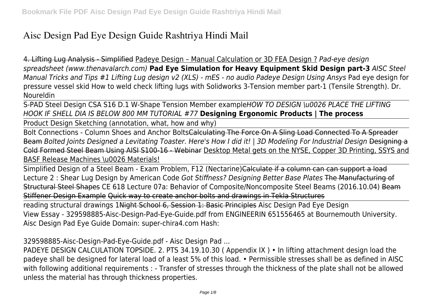# **Aisc Design Pad Eye Design Guide Rashtriya Hindi Mail**

4. Lifting Lug Analysis - Simplified Padeye Design – Manual Calculation or 3D FEA Design ? *Pad-eye design spreadsheet (www.thenavalarch.com)* **Pad Eye Simulation for Heavy Equipment Skid Design part-3** *AISC Steel Manual Tricks and Tips #1 Lifting Lug design v2 (XLS) - mES - no audio Padeye Design Using Ansys* Pad eye design for pressure vessel skid How to weld check lifting lugs with Solidworks 3-Tension member part-1 (Tensile Strength). Dr. Noureldin

S-PAD Steel Design CSA S16 D.1 W-Shape Tension Member example*HOW TO DESIGN \u0026 PLACE THE LIFTING HOOK IF SHELL DIA IS BELOW 800 MM TUTORIAL #77* **Designing Ergonomic Products | The process**

Product Design Sketching (annotation, what, how and why)

Bolt Connections - Column Shoes and Anchor BoltsCalculating The Force On A Sling Load Connected To A Spreader Beam *Bolted Joints Designed a Levitating Toaster. Here's How I did it! | 3D Modeling For Industrial Design* Designing a Cold Formed Steel Beam Using AISI S100-16 - Webinar Desktop Metal gets on the NYSE, Copper 3D Printing, SSYS and BASF Release Machines \u0026 Materials!

Simplified Design of a Steel Beam - Exam Problem, F12 (Nectarine)Calculate if a column can can support a load Lecture 2 : Shear Lug Design by American Code *Got Stiffness? Designing Better Base Plates* The Manufacturing of Structural Steel Shapes CE 618 Lecture 07a: Behavior of Composite/Noncomposite Steel Beams (2016.10.04) Beam Stiffener Design Example Quick way to create anchor bolts and drawings in Tekla Structures

reading structural drawings 1Night School 6, Session 1: Basic Principles Aisc Design Pad Eye Design View Essay - 329598885-Aisc-Design-Pad-Eye-Guide.pdf from ENGINEERIN 651556465 at Bournemouth University. Aisc Design Pad Eye Guide Domain: super-chira4.com Hash:

329598885-Aisc-Design-Pad-Eye-Guide.pdf - Aisc Design Pad ...

PADEYE DESIGN CALCULATION TOPSIDE. 2. PTS 34.19.10.30 ( Appendix IX ) • In lifting attachment design load the padeye shall be designed for lateral load of a least 5% of this load. • Permissible stresses shall be as defined in AISC with following additional requirements : - Transfer of stresses through the thickness of the plate shall not be allowed unless the material has through thickness properties.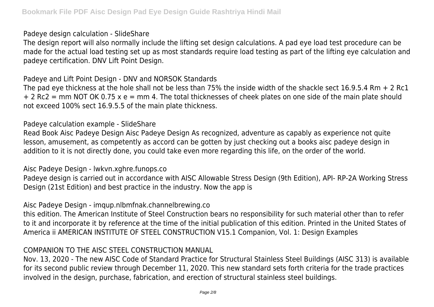Padeye design calculation - SlideShare

The design report will also normally include the lifting set design calculations. A pad eye load test procedure can be made for the actual load testing set up as most standards require load testing as part of the lifting eye calculation and padeye certification. DNV Lift Point Design.

Padeye and Lift Point Design - DNV and NORSOK Standards

The pad eye thickness at the hole shall not be less than 75% the inside width of the shackle sect 16.9.5.4 Rm + 2 Rc1 + 2 Rc2 = mm NOT OK 0.75 x e = mm 4. The total thicknesses of cheek plates on one side of the main plate should not exceed 100% sect 16.9.5.5 of the main plate thickness.

#### Padeye calculation example - SlideShare

Read Book Aisc Padeye Design Aisc Padeye Design As recognized, adventure as capably as experience not quite lesson, amusement, as competently as accord can be gotten by just checking out a books aisc padeye design in addition to it is not directly done, you could take even more regarding this life, on the order of the world.

Aisc Padeye Design - lwkvn.xghre.funops.co

Padeye design is carried out in accordance with AISC Allowable Stress Design (9th Edition), API- RP-2A Working Stress Design (21st Edition) and best practice in the industry. Now the app is

Aisc Padeye Design - imqup.nlbmfnak.channelbrewing.co

this edition. The American Institute of Steel Construction bears no responsibility for such material other than to refer to it and incorporate it by reference at the time of the initial publication of this edition. Printed in the United States of America ii AMERICAN INSTITUTE OF STEEL CONSTRUCTION V15.1 Companion, Vol. 1: Design Examples

# COMPANION TO THE AISC STEEL CONSTRUCTION MANUAL

Nov. 13, 2020 - The new AISC Code of Standard Practice for Structural Stainless Steel Buildings (AISC 313) is available for its second public review through December 11, 2020. This new standard sets forth criteria for the trade practices involved in the design, purchase, fabrication, and erection of structural stainless steel buildings.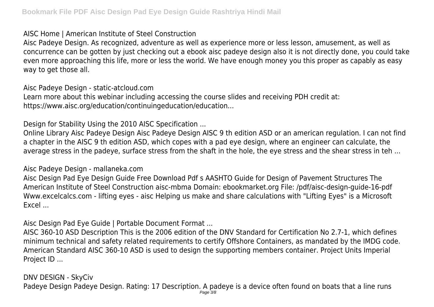AISC Home | American Institute of Steel Construction

Aisc Padeye Design. As recognized, adventure as well as experience more or less lesson, amusement, as well as concurrence can be gotten by just checking out a ebook aisc padeye design also it is not directly done, you could take even more approaching this life, more or less the world. We have enough money you this proper as capably as easy way to get those all.

Aisc Padeye Design - static-atcloud.com

Learn more about this webinar including accessing the course slides and receiving PDH credit at: https://www.aisc.org/education/continuingeducation/education...

Design for Stability Using the 2010 AISC Specification ...

Online Library Aisc Padeye Design Aisc Padeye Design AISC 9 th edition ASD or an american regulation. I can not find a chapter in the AISC 9 th edition ASD, which copes with a pad eye design, where an engineer can calculate, the average stress in the padeye, surface stress from the shaft in the hole, the eye stress and the shear stress in teh ...

Aisc Padeye Design - mallaneka.com

Aisc Design Pad Eye Design Guide Free Download Pdf s AASHTO Guide for Design of Pavement Structures The American Institute of Steel Construction aisc-mbma Domain: ebookmarket.org File: /pdf/aisc-design-guide-16-pdf Www.excelcalcs.com - lifting eyes - aisc Helping us make and share calculations with "Lifting Eyes" is a Microsoft Excel ...

Aisc Design Pad Eye Guide | Portable Document Format ...

AISC 360-10 ASD Description This is the 2006 edition of the DNV Standard for Certification No 2.7-1, which defines minimum technical and safety related requirements to certify Offshore Containers, as mandated by the IMDG code. American Standard AISC 360-10 ASD is used to design the supporting members container. Project Units Imperial Project ID ...

DNV DESIGN - SkyCiv Padeye Design Padeye Design. Rating: 17 Description. A padeye is a device often found on boats that a line runs Page 3/8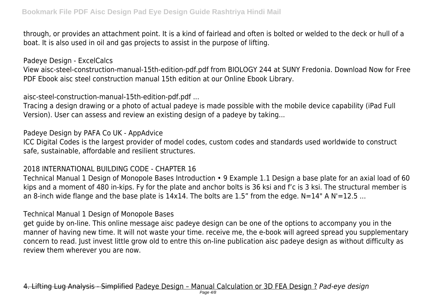through, or provides an attachment point. It is a kind of fairlead and often is bolted or welded to the deck or hull of a boat. It is also used in oil and gas projects to assist in the purpose of lifting.

Padeye Design - ExcelCalcs

View aisc-steel-construction-manual-15th-edition-pdf.pdf from BIOLOGY 244 at SUNY Fredonia. Download Now for Free PDF Ebook aisc steel construction manual 15th edition at our Online Ebook Library.

aisc-steel-construction-manual-15th-edition-pdf.pdf ...

Tracing a design drawing or a photo of actual padeye is made possible with the mobile device capability (iPad Full Version). User can assess and review an existing design of a padeye by taking...

Padeye Design by PAFA Co UK - AppAdvice

ICC Digital Codes is the largest provider of model codes, custom codes and standards used worldwide to construct safe, sustainable, affordable and resilient structures.

# 2018 INTERNATIONAL BUILDING CODE - CHAPTER 16

Technical Manual 1 Design of Monopole Bases Introduction • 9 Example 1.1 Design a base plate for an axial load of 60 kips and a moment of 480 in-kips. Fy for the plate and anchor bolts is 36 ksi and f'c is 3 ksi. The structural member is an 8-inch wide flange and the base plate is  $14x14$ . The bolts are 1.5" from the edge. N=14" A N'=12.5 ...

Technical Manual 1 Design of Monopole Bases

get guide by on-line. This online message aisc padeye design can be one of the options to accompany you in the manner of having new time. It will not waste your time. receive me, the e-book will agreed spread you supplementary concern to read. Just invest little grow old to entre this on-line publication aisc padeye design as without difficulty as review them wherever you are now.

4. Lifting Lug Analysis - Simplified Padeye Design – Manual Calculation or 3D FEA Design ? *Pad-eye design*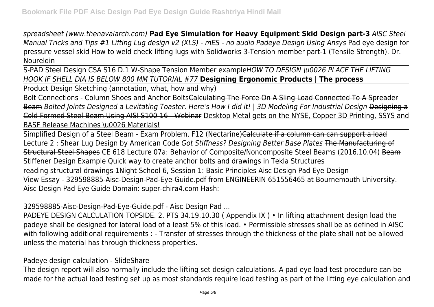*spreadsheet (www.thenavalarch.com)* **Pad Eye Simulation for Heavy Equipment Skid Design part-3** *AISC Steel Manual Tricks and Tips #1 Lifting Lug design v2 (XLS) - mES - no audio Padeye Design Using Ansys* Pad eye design for pressure vessel skid How to weld check lifting lugs with Solidworks 3-Tension member part-1 (Tensile Strength). Dr. Noureldin

S-PAD Steel Design CSA S16 D.1 W-Shape Tension Member example*HOW TO DESIGN \u0026 PLACE THE LIFTING HOOK IF SHELL DIA IS BELOW 800 MM TUTORIAL #77* **Designing Ergonomic Products | The process**

Product Design Sketching (annotation, what, how and why)

Bolt Connections - Column Shoes and Anchor BoltsCalculating The Force On A Sling Load Connected To A Spreader Beam *Bolted Joints Designed a Levitating Toaster. Here's How I did it! | 3D Modeling For Industrial Design* Designing a Cold Formed Steel Beam Using AISI S100-16 - Webinar Desktop Metal gets on the NYSE, Copper 3D Printing, SSYS and BASF Release Machines \u0026 Materials!

Simplified Design of a Steel Beam - Exam Problem, F12 (Nectarine)Calculate if a column can can support a load Lecture 2 : Shear Lug Design by American Code *Got Stiffness? Designing Better Base Plates* The Manufacturing of Structural Steel Shapes CE 618 Lecture 07a: Behavior of Composite/Noncomposite Steel Beams (2016.10.04) Beam Stiffener Design Example Quick way to create anchor bolts and drawings in Tekla Structures

reading structural drawings 1Night School 6, Session 1: Basic Principles Aisc Design Pad Eye Design View Essay - 329598885-Aisc-Design-Pad-Eye-Guide.pdf from ENGINEERIN 651556465 at Bournemouth University. Aisc Design Pad Eye Guide Domain: super-chira4.com Hash:

329598885-Aisc-Design-Pad-Eye-Guide.pdf - Aisc Design Pad ...

PADEYE DESIGN CALCULATION TOPSIDE. 2. PTS 34.19.10.30 ( Appendix IX ) • In lifting attachment design load the padeye shall be designed for lateral load of a least 5% of this load. • Permissible stresses shall be as defined in AISC with following additional requirements : - Transfer of stresses through the thickness of the plate shall not be allowed unless the material has through thickness properties.

Padeye design calculation - SlideShare

The design report will also normally include the lifting set design calculations. A pad eye load test procedure can be made for the actual load testing set up as most standards require load testing as part of the lifting eye calculation and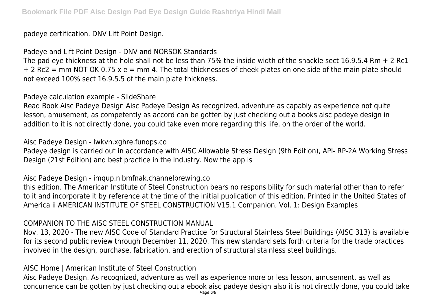padeye certification. DNV Lift Point Design.

Padeye and Lift Point Design - DNV and NORSOK Standards

The pad eye thickness at the hole shall not be less than 75% the inside width of the shackle sect 16.9.5.4 Rm + 2 Rc1 + 2 Rc2 = mm NOT OK 0.75 x e = mm 4. The total thicknesses of cheek plates on one side of the main plate should not exceed 100% sect 16.9.5.5 of the main plate thickness.

Padeye calculation example - SlideShare

Read Book Aisc Padeye Design Aisc Padeye Design As recognized, adventure as capably as experience not quite lesson, amusement, as competently as accord can be gotten by just checking out a books aisc padeye design in addition to it is not directly done, you could take even more regarding this life, on the order of the world.

Aisc Padeye Design - lwkvn.xghre.funops.co

Padeye design is carried out in accordance with AISC Allowable Stress Design (9th Edition), API- RP-2A Working Stress Design (21st Edition) and best practice in the industry. Now the app is

Aisc Padeye Design - imqup.nlbmfnak.channelbrewing.co

this edition. The American Institute of Steel Construction bears no responsibility for such material other than to refer to it and incorporate it by reference at the time of the initial publication of this edition. Printed in the United States of America ii AMERICAN INSTITUTE OF STEEL CONSTRUCTION V15.1 Companion, Vol. 1: Design Examples

# COMPANION TO THE AISC STEEL CONSTRUCTION MANUAL

Nov. 13, 2020 - The new AISC Code of Standard Practice for Structural Stainless Steel Buildings (AISC 313) is available for its second public review through December 11, 2020. This new standard sets forth criteria for the trade practices involved in the design, purchase, fabrication, and erection of structural stainless steel buildings.

AISC Home | American Institute of Steel Construction

Aisc Padeye Design. As recognized, adventure as well as experience more or less lesson, amusement, as well as concurrence can be gotten by just checking out a ebook aisc padeye design also it is not directly done, you could take Page 6/8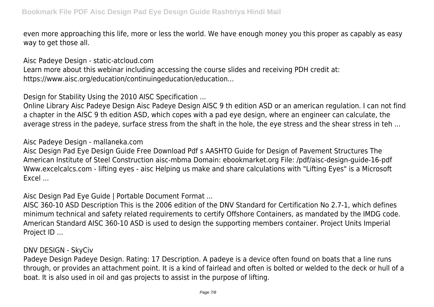even more approaching this life, more or less the world. We have enough money you this proper as capably as easy way to get those all.

Aisc Padeye Design - static-atcloud.com

Learn more about this webinar including accessing the course slides and receiving PDH credit at: https://www.aisc.org/education/continuingeducation/education...

Design for Stability Using the 2010 AISC Specification ...

Online Library Aisc Padeye Design Aisc Padeye Design AISC 9 th edition ASD or an american regulation. I can not find a chapter in the AISC 9 th edition ASD, which copes with a pad eye design, where an engineer can calculate, the average stress in the padeye, surface stress from the shaft in the hole, the eye stress and the shear stress in teh ...

Aisc Padeye Design - mallaneka.com

Aisc Design Pad Eye Design Guide Free Download Pdf s AASHTO Guide for Design of Pavement Structures The American Institute of Steel Construction aisc-mbma Domain: ebookmarket.org File: /pdf/aisc-design-guide-16-pdf Www.excelcalcs.com - lifting eyes - aisc Helping us make and share calculations with "Lifting Eyes" is a Microsoft Excel ...

Aisc Design Pad Eye Guide | Portable Document Format ...

AISC 360-10 ASD Description This is the 2006 edition of the DNV Standard for Certification No 2.7-1, which defines minimum technical and safety related requirements to certify Offshore Containers, as mandated by the IMDG code. American Standard AISC 360-10 ASD is used to design the supporting members container. Project Units Imperial Project ID ...

DNV DESIGN - SkyCiv

Padeye Design Padeye Design. Rating: 17 Description. A padeye is a device often found on boats that a line runs through, or provides an attachment point. It is a kind of fairlead and often is bolted or welded to the deck or hull of a boat. It is also used in oil and gas projects to assist in the purpose of lifting.